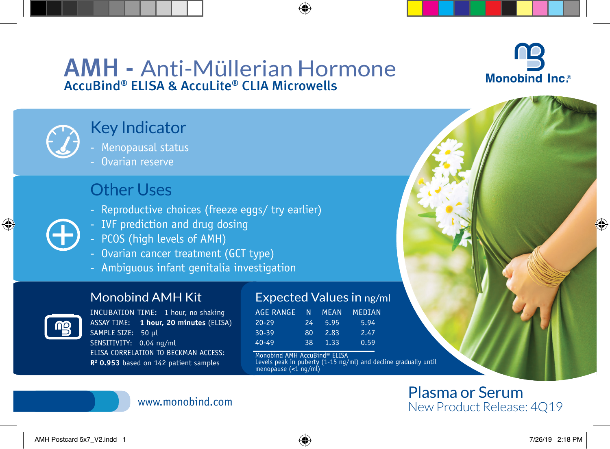# AMH - Anti-Müllerian Hormone AccuBind® ELISA & AccuLite® CLIA Microwells





## Key Indicator

- Menopausal status
- Ovarian reserve

# Other Uses

- Reproductive choices (freeze eggs/ try earlier)
- IVF prediction and drug dosing
- PCOS (high levels of AMH)
- Ovarian cancer treatment (GCT type)
- Ambiguous infant genitalia investigation

## Monobind AMH Kit



 $\overline{\text{t}}$ 

 $\bigoplus$ 

INCUBATION TIME: 1 hour, no shaking ASSAY TIME: **1 hour, 20 minutes** (ELISA) SAMPLE SIZE: 50 µl SENSITIVITY: 0.04 ng/ml ELISA CORRELATION TO BECKMAN ACCESS: **R2 0.953** based on 142 patient samples

### Expected Values in ng/ml

| AGE RANGE | N   | <b>MFAN</b> | MEDIAN |
|-----------|-----|-------------|--------|
| 20-29     | 24. | 5.95        | 5.94   |
| $30-39$   | 80. | 2.83        | 2.47   |
| $40 - 49$ | 38. | 1.33        | 0.59   |

Monobind AMH AccuBind® ELISA Levels peak in puberty (1-15 ng/ml) and decline gradually until menopause  $\left($  <1 ng/ml

www.monobind.com **Plasma or Serum** New Product Release: 4Q19

⊕